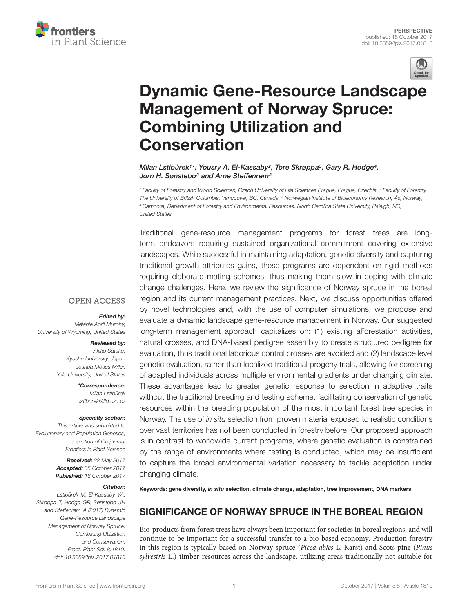



# [Dynamic Gene-Resource Landscape](https://www.frontiersin.org/articles/10.3389/fpls.2017.01810/full) Management of Norway Spruce: Combining Utilization and Conservation

Milan Lstibůrek1\*, [Yousry A. El-Kassaby](http://loop.frontiersin.org/people/344616/overview)<sup>2</sup>, [Tore Skrøppa](http://loop.frontiersin.org/people/442085/overview)<sup>3</sup>, Gary R. Hodge<sup>4</sup>, [Jørn H. Sønstebø](http://loop.frontiersin.org/people/485665/overview)<sup>3</sup> and [Arne Steffenrem](http://loop.frontiersin.org/people/468903/overview)<sup>3</sup>

<sup>1</sup> Faculty of Forestry and Wood Sciences, Czech University of Life Sciences Prague, Prague, Czechia, <sup>2</sup> Faculty of Forestry, The University of British Columbia, Vancouver, BC, Canada, <sup>3</sup> Norwegian Institute of Bioeconomy Research, Ås, Norway, <sup>4</sup> Camcore, Department of Forestry and Environmental Resources, North Carolina State University, Raleigh, NC, United States

Traditional gene-resource management programs for forest trees are longterm endeavors requiring sustained organizational commitment covering extensive landscapes. While successful in maintaining adaptation, genetic diversity and capturing traditional growth attributes gains, these programs are dependent on rigid methods requiring elaborate mating schemes, thus making them slow in coping with climate change challenges. Here, we review the significance of Norway spruce in the boreal region and its current management practices. Next, we discuss opportunities offered by novel technologies and, with the use of computer simulations, we propose and evaluate a dynamic landscape gene-resource management in Norway. Our suggested long-term management approach capitalizes on: (1) existing afforestation activities, natural crosses, and DNA-based pedigree assembly to create structured pedigree for evaluation, thus traditional laborious control crosses are avoided and (2) landscape level genetic evaluation, rather than localized traditional progeny trials, allowing for screening of adapted individuals across multiple environmental gradients under changing climate. These advantages lead to greater genetic response to selection in adaptive traits without the traditional breeding and testing scheme, facilitating conservation of genetic resources within the breeding population of the most important forest tree species in Norway. The use of in situ selection from proven material exposed to realistic conditions over vast territories has not been conducted in forestry before. Our proposed approach is in contrast to worldwide current programs, where genetic evaluation is constrained by the range of environments where testing is conducted, which may be insufficient to capture the broad environmental variation necessary to tackle adaptation under changing climate.

# Keywords: gene diversity, in situ selection, climate change, adaptation, tree improvement, DNA markers

# SIGNIFICANCE OF NORWAY SPRUCE IN THE BOREAL REGION

Bio-products from forest trees have always been important for societies in boreal regions, and will continue to be important for a successful transfer to a bio-based economy. Production forestry in this region is typically based on Norway spruce (Picea abies L. Karst) and Scots pine (Pinus sylvestris L.) timber resources across the landscape, utilizing areas traditionally not suitable for

#### **OPEN ACCESS**

#### Edited by:

Melanie April Murphy, University of Wyoming, United States

#### Reviewed by:

Akiko Satake, Kyushu University, Japan Joshua Moses Miller, Yale University, United States

> \*Correspondence: Milan Lstibůrek lstiburek@fld.czu.cz

#### Specialty section:

This article was submitted to Evolutionary and Population Genetics, a section of the journal Frontiers in Plant Science

> Received: 22 May 2017 Accepted: 05 October 2017 Published: 18 October 2017

#### Citation:

Lstibůrek M, El-Kassaby YA, Skrøppa T, Hodge GR, Sønstebø JH and Steffenrem A (2017) Dynamic Gene-Resource Landscape Management of Norway Spruce: Combining Utilization and Conservation. Front. Plant Sci. 8:1810. doi: [10.3389/fpls.2017.01810](https://doi.org/10.3389/fpls.2017.01810)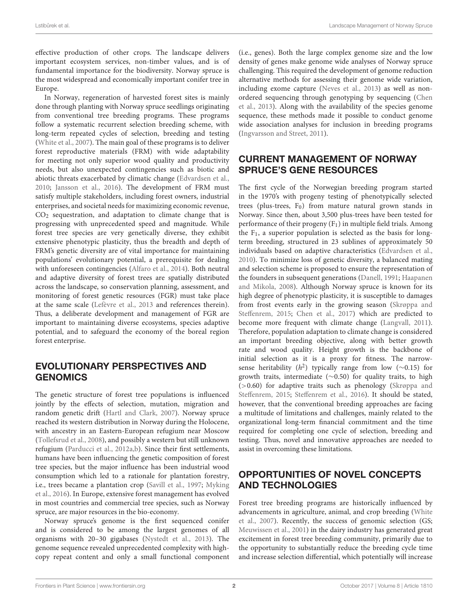effective production of other crops. The landscape delivers important ecosystem services, non-timber values, and is of fundamental importance for the biodiversity. Norway spruce is the most widespread and economically important conifer tree in Europe.

In Norway, regeneration of harvested forest sites is mainly done through planting with Norway spruce seedlings originating from conventional tree breeding programs. These programs follow a systematic recurrent selection breeding scheme, with long-term repeated cycles of selection, breeding and testing [\(White et al.,](#page-5-0) [2007\)](#page-5-0). The main goal of these programs is to deliver forest reproductive materials (FRM) with wide adaptability for meeting not only superior wood quality and productivity needs, but also unexpected contingencies such as biotic and abiotic threats exacerbated by climatic change [\(Edvardsen et al.,](#page-5-1) [2010;](#page-5-1) [Jansson et al.,](#page-5-2) [2016\)](#page-5-2). The development of FRM must satisfy multiple stakeholders, including forest owners, industrial enterprises, and societal needs for maximizing economic revenue,  $CO<sub>2</sub>$  sequestration, and adaptation to climate change that is progressing with unprecedented speed and magnitude. While forest tree species are very genetically diverse, they exhibit extensive phenotypic plasticity, thus the breadth and depth of FRM's genetic diversity are of vital importance for maintaining populations' evolutionary potential, a prerequisite for dealing with unforeseen contingencies [\(Alfaro et al.,](#page-5-3) [2014\)](#page-5-3). Both neutral and adaptive diversity of forest trees are spatially distributed across the landscape, so conservation planning, assessment, and monitoring of forest genetic resources (FGR) must take place at the same scale [\(Lefèvre et al.,](#page-5-4) [2013](#page-5-4) and references therein). Thus, a deliberate development and management of FGR are important to maintaining diverse ecosystems, species adaptive potential, and to safeguard the economy of the boreal region forest enterprise.

## EVOLUTIONARY PERSPECTIVES AND GENOMICS

The genetic structure of forest tree populations is influenced jointly by the effects of selection, mutation, migration and random genetic drift [\(Hartl and Clark,](#page-5-5) [2007\)](#page-5-5). Norway spruce reached its western distribution in Norway during the Holocene, with ancestry in an Eastern-European refugium near Moscow [\(Tollefsrud et al.,](#page-5-6) [2008\)](#page-5-6), and possibly a western but still unknown refugium [\(Parducci et al.,](#page-5-7) [2012a,](#page-5-7)[b\)](#page-5-8). Since their first settlements, humans have been influencing the genetic composition of forest tree species, but the major influence has been industrial wood consumption which led to a rationale for plantation forestry, i.e., trees became a plantation crop [\(Savill et al.,](#page-5-9) [1997;](#page-5-9) [Myking](#page-5-10) [et al.,](#page-5-10) [2016\)](#page-5-10). In Europe, extensive forest management has evolved in most countries and commercial tree species, such as Norway spruce, are major resources in the bio-economy.

Norway spruce's genome is the first sequenced conifer and is considered to be among the largest genomes of all organisms with 20–30 gigabases [\(Nystedt et al.,](#page-5-11) [2013\)](#page-5-11). The genome sequence revealed unprecedented complexity with highcopy repeat content and only a small functional component

(i.e., genes). Both the large complex genome size and the low density of genes make genome wide analyses of Norway spruce challenging. This required the development of genome reduction alternative methods for assessing their genome wide variation, including exome capture [\(Neves et al.,](#page-5-12) [2013\)](#page-5-12) as well as nonordered sequencing through genotyping by sequencing [\(Chen](#page-5-13) [et al.,](#page-5-13) [2013\)](#page-5-13). Along with the availability of the species genome sequence, these methods made it possible to conduct genome wide association analyses for inclusion in breeding programs [\(Ingvarsson and Street,](#page-5-14) [2011\)](#page-5-14).

## CURRENT MANAGEMENT OF NORWAY SPRUCE'S GENE RESOURCES

The first cycle of the Norwegian breeding program started in the 1970's with progeny testing of phenotypically selected trees (plus-trees,  $F_0$ ) from mature natural grown stands in Norway. Since then, about 3,500 plus-trees have been tested for performance of their progeny  $(F_1)$  in multiple field trials. Among the  $F_1$ , a superior population is selected as the basis for longterm breeding, structured in 23 sublines of approximately 50 individuals based on adaptive characteristics [\(Edvardsen et al.,](#page-5-1) [2010\)](#page-5-1). To minimize loss of genetic diversity, a balanced mating and selection scheme is proposed to ensure the representation of the founders in subsequent generations [\(Danell,](#page-5-15) [1991;](#page-5-15) [Haapanen](#page-5-16) [and Mikola,](#page-5-16) [2008\)](#page-5-16). Although Norway spruce is known for its high degree of phenotypic plasticity, it is susceptible to damages from frost events early in the growing season [\(Skrøppa and](#page-5-17) [Steffenrem,](#page-5-17) [2015;](#page-5-17) [Chen et al.,](#page-5-18) [2017\)](#page-5-18) which are predicted to become more frequent with climate change [\(Langvall,](#page-5-19) [2011\)](#page-5-19). Therefore, population adaptation to climate change is considered an important breeding objective, along with better growth rate and wood quality. Height growth is the backbone of initial selection as it is a proxy for fitness. The narrowsense heritability ( $h^2$ ) typically range from low (~0.15) for growth traits, intermediate (∼0.50) for quality traits, to high (>0.60) for adaptive traits such as phenology [\(Skrøppa and](#page-5-17) [Steffenrem,](#page-5-17) [2015;](#page-5-17) [Steffenrem et al.,](#page-5-20) [2016\)](#page-5-20). It should be stated, however, that the conventional breeding approaches are facing a multitude of limitations and challenges, mainly related to the organizational long-term financial commitment and the time required for completing one cycle of selection, breeding and testing. Thus, novel and innovative approaches are needed to assist in overcoming these limitations.

## OPPORTUNITIES OF NOVEL CONCEPTS AND TECHNOLOGIES

Forest tree breeding programs are historically influenced by advancements in agriculture, animal, and crop breeding [\(White](#page-5-0) [et al.,](#page-5-0) [2007\)](#page-5-0). Recently, the success of genomic selection (GS; [Meuwissen et al.,](#page-5-21) [2001\)](#page-5-21) in the dairy industry has generated great excitement in forest tree breeding community, primarily due to the opportunity to substantially reduce the breeding cycle time and increase selection differential, which potentially will increase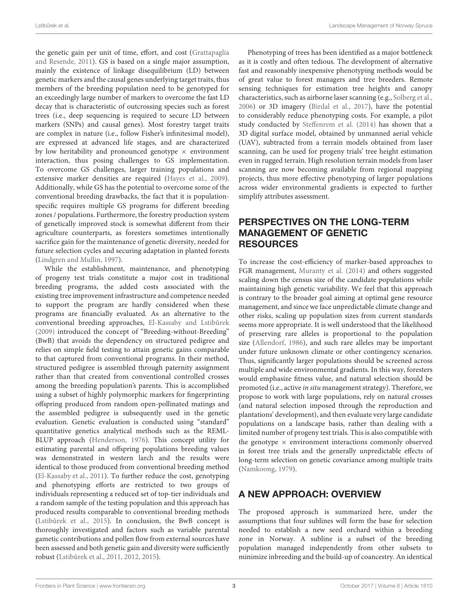the genetic gain per unit of time, effort, and cost [\(Grattapaglia](#page-5-22) [and Resende,](#page-5-22) [2011\)](#page-5-22). GS is based on a single major assumption, mainly the existence of linkage disequilibrium (LD) between genetic markers and the causal genes underlying target traits, thus members of the breeding population need to be genotyped for an exceedingly large number of markers to overcome the fast LD decay that is characteristic of outcrossing species such as forest trees (i.e., deep sequencing is required to secure LD between markers (SNPs) and causal genes). Most forestry target traits are complex in nature (i.e., follow Fisher's infinitesimal model), are expressed at advanced life stages, and are characterized by low heritability and pronounced genotype  $\times$  environment interaction, thus posing challenges to GS implementation. To overcome GS challenges, larger training populations and extensive marker densities are required [\(Hayes et al.,](#page-5-23) [2009\)](#page-5-23). Additionally, while GS has the potential to overcome some of the conventional breeding drawbacks, the fact that it is populationspecific requires multiple GS programs for different breeding zones / populations. Furthermore, the forestry production system of genetically improved stock is somewhat different from their agriculture counterparts, as foresters sometimes intentionally sacrifice gain for the maintenance of genetic diversity, needed for future selection cycles and securing adaptation in planted forests [\(Lindgren and Mullin,](#page-5-24) [1997\)](#page-5-24).

While the establishment, maintenance, and phenotyping of progeny test trials constitute a major cost in traditional breeding programs, the added costs associated with the existing tree improvement infrastructure and competence needed to support the program are hardly considered when these programs are financially evaluated. As an alternative to the conventional breeding approaches, [El-Kassaby and Lstiburek](#page-5-25) [\(2009\)](#page-5-25) introduced the concept of "Breeding-without-Breeding" (BwB) that avoids the dependency on structured pedigree and relies on simple field testing to attain genetic gains comparable to that captured from conventional programs. In their method, structured pedigree is assembled through paternity assignment rather than that created from conventional controlled crosses among the breeding population's parents. This is accomplished using a subset of highly polymorphic markers for fingerprinting offspring produced from random open-pollinated matings and the assembled pedigree is subsequently used in the genetic evaluation. Genetic evaluation is conducted using "standard" quantitative genetics analytical methods such as the REML-BLUP approach [\(Henderson,](#page-5-26) [1976\)](#page-5-26). This concept utility for estimating parental and offspring populations breeding values was demonstrated in western larch and the results were identical to those produced from conventional breeding method [\(El-Kassaby et al.,](#page-5-27) [2011\)](#page-5-27). To further reduce the cost, genotyping and phenotyping efforts are restricted to two groups of individuals representing a reduced set of top-tier individuals and a random sample of the testing population and this approach has produced results comparable to conventional breeding methods (Lstibůrek et al., [2015\)](#page-5-28). In conclusion, the BwB concept is thoroughly investigated and factors such as variable parental gametic contributions and pollen flow from external sources have been assessed and both genetic gain and diversity were sufficiently robust (Lstibůrek et al., [2011,](#page-5-29) [2012,](#page-5-30) [2015\)](#page-5-28).

Phenotyping of trees has been identified as a major bottleneck as it is costly and often tedious. The development of alternative fast and reasonably inexpensive phenotyping methods would be of great value to forest managers and tree breeders. Remote sensing techniques for estimation tree heights and canopy characteristics, such as airborne laser scanning (e.g., [Solberg et al.,](#page-5-31) [2006\)](#page-5-31) or 3D imagery [\(Birdal et al.,](#page-5-32) [2017\)](#page-5-32), have the potential to considerably reduce phenotyping costs. For example, a pilot study conducted by [Steffenrem et al.](#page-5-33) [\(2014\)](#page-5-33) has shown that a 3D digital surface model, obtained by unmanned aerial vehicle (UAV), subtracted from a terrain models obtained from laser scanning, can be used for progeny trials' tree height estimation even in rugged terrain. High resolution terrain models from laser scanning are now becoming available from regional mapping projects, thus more effective phenotyping of larger populations across wider environmental gradients is expected to further simplify attributes assessment.

# PERSPECTIVES ON THE LONG-TERM MANAGEMENT OF GENETIC **RESOURCES**

To increase the cost-efficiency of marker-based approaches to FGR management, [Muranty et al.](#page-5-34) [\(2014\)](#page-5-34) and others suggested scaling down the census size of the candidate populations while maintaining high genetic variability. We feel that this approach is contrary to the broader goal aiming at optimal gene resource management, and since we face unpredictable climate change and other risks, scaling up population sizes from current standards seems more appropriate. It is well understood that the likelihood of preserving rare alleles is proportional to the population size [\(Allendorf,](#page-5-35) [1986\)](#page-5-35), and such rare alleles may be important under future unknown climate or other contingency scenarios. Thus, significantly larger populations should be screened across multiple and wide environmental gradients. In this way, foresters would emphasize fitness value, and natural selection should be promoted (i.e., active in situ management strategy). Therefore, we propose to work with large populations, rely on natural crosses (and natural selection imposed through the reproduction and plantations' development), and then evaluate very large candidate populations on a landscape basis, rather than dealing with a limited number of progeny test trials. This is also compatible with the genotype  $\times$  environment interactions commonly observed in forest tree trials and the generally unpredictable effects of long-term selection on genetic covariance among multiple traits [\(Namkoong,](#page-5-36) [1979\)](#page-5-36).

# A NEW APPROACH: OVERVIEW

The proposed approach is summarized here, under the assumptions that four sublines will form the base for selection needed to establish a new seed orchard within a breeding zone in Norway. A subline is a subset of the breeding population managed independently from other subsets to minimize inbreeding and the build-up of coancestry. An identical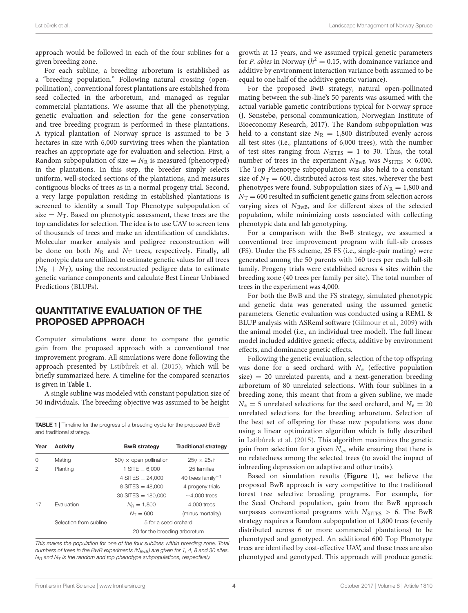approach would be followed in each of the four sublines for a given breeding zone.

For each subline, a breeding arboretum is established as a "breeding population." Following natural crossing (openpollination), conventional forest plantations are established from seed collected in the arboretum, and managed as regular commercial plantations. We assume that all the phenotyping, genetic evaluation and selection for the gene conservation and tree breeding program is performed in these plantations. A typical plantation of Norway spruce is assumed to be 3 hectares in size with 6,000 surviving trees when the plantation reaches an appropriate age for evaluation and selection. First, a Random subpopulation of size =  $N_R$  is measured (phenotyped) in the plantations. In this step, the breeder simply selects uniform, well-stocked sections of the plantations, and measures contiguous blocks of trees as in a normal progeny trial. Second, a very large population residing in established plantations is screened to identify a small Top Phenotype subpopulation of size =  $N<sub>T</sub>$ . Based on phenotypic assessment, these trees are the top candidates for selection. The idea is to use UAV to screen tens of thousands of trees and make an identification of candidates. Molecular marker analysis and pedigree reconstruction will be done on both  $N_R$  and  $N_T$  trees, respectively. Finally, all phenotypic data are utilized to estimate genetic values for all trees  $(N_R + N_T)$ , using the reconstructed pedigree data to estimate genetic variance components and calculate Best Linear Unbiased Predictions (BLUPs).

#### QUANTITATIVE EVALUATION OF THE PROPOSED APPROACH

Computer simulations were done to compare the genetic gain from the proposed approach with a conventional tree improvement program. All simulations were done following the approach presented by Lstibůrek et al. [\(2015\)](#page-5-28), which will be briefly summarized here. A timeline for the compared scenarios is given in **[Table 1](#page-3-0)**.

A single subline was modeled with constant population size of 50 individuals. The breeding objective was assumed to be height

<span id="page-3-0"></span>

|                           | <b>TABLE 1</b>   Timeline for the progress of a breeding cycle for the proposed BwB |
|---------------------------|-------------------------------------------------------------------------------------|
| and traditional strategy. |                                                                                     |

| Year     | <b>Activity</b>        | <b>BwB</b> strategy                | <b>Traditional strategy</b>                |
|----------|------------------------|------------------------------------|--------------------------------------------|
| $\Omega$ | Mating                 | $50\Omega \times$ open pollination | $259 \times 25\sigma$                      |
| 2        | Planting               | $1$ SITE = 6.000                   | 25 families                                |
|          |                        | 4 SITES $= 24.000$                 | 40 trees family <sup><math>-1</math></sup> |
|          |                        | $8$ SITES = 48,000                 | 4 progeny trials                           |
|          |                        | $30$ SITES = 180,000               | $\sim$ 4.000 trees                         |
| 17       | <b>Fvaluation</b>      | $N_{\rm B} = 1.800$                | 4.000 trees                                |
|          |                        | $N_{\rm T} = 600$                  | (minus mortality)                          |
|          | Selection from subline | 5 for a seed orchard               |                                            |
|          |                        | 20 for the breeding arboretum      |                                            |
|          |                        |                                    |                                            |

This makes the population for one of the four sublines within breeding zone. Total numbers of trees in the BwB experiments ( $N_{BwB}$ ) are given for 1, 4, 8 and 30 sites.  $N_R$  and  $N_T$  is the random and top phenotype subpopulations, respectively.

growth at 15 years, and we assumed typical genetic parameters for *P. abies* in Norway ( $h^2 = 0.15$ , with dominance variance and additive by environment interaction variance both assumed to be equal to one half of the additive genetic variance).

For the proposed BwB strategy, natural open-pollinated mating between the sub-line**'s** 50 parents was assumed with the actual variable gametic contributions typical for Norway spruce (J. Sønstebø, personal communication, Norwegian Institute of Bioeconomy Research, 2017). The Random subpopulation was held to a constant size  $N_R = 1,800$  distributed evenly across all test sites (i.e., plantations of 6,000 trees), with the number of test sites ranging from  $N<sub>STES</sub> = 1$  to 30. Thus, the total number of trees in the experiment  $N_{BwB}$  was  $N_{SITES} \times 6,000$ . The Top Phenotype subpopulation was also held to a constant size of  $N_T = 600$ , distributed across test sites, wherever the best phenotypes were found. Subpopulation sizes of  $N_R = 1,800$  and  $N_T = 600$  resulted in sufficient genetic gains from selection across varying sizes of  $N_{\text{BwB}}$ , and for different sizes of the selected population, while minimizing costs associated with collecting phenotypic data and lab genotyping.

For a comparison with the BwB strategy, we assumed a conventional tree improvement program with full-sib crosses (FS). Under the FS scheme, 25 FS (i.e., single-pair mating) were generated among the 50 parents with 160 trees per each full-sib family. Progeny trials were established across 4 sites within the breeding zone (40 trees per family per site). The total number of trees in the experiment was 4,000.

For both the BwB and the FS strategy, simulated phenotypic and genetic data was generated using the assumed genetic parameters. Genetic evaluation was conducted using a REML & BLUP analysis with ASReml software [\(Gilmour et al.,](#page-5-37) [2009\)](#page-5-37) with the animal model (i.e., an individual tree model). The full linear model included additive genetic effects, additive by environment effects, and dominance genetic effects.

Following the genetic evaluation, selection of the top offspring was done for a seed orchard with  $N_e$  (effective population  $size) = 20$  unrelated parents, and a next-generation breeding arboretum of 80 unrelated selections. With four sublines in a breeding zone, this meant that from a given subline, we made  $N_e = 5$  unrelated selections for the seed orchard, and  $N_e = 20$ unrelated selections for the breeding arboretum. Selection of the best set of offspring for these new populations was done using a linear optimization algorithm which is fully described in [Lstiburek et al.](#page-5-28) [\(2015\)](#page-5-28). This algorithm maximizes the genetic gain from selection for a given  $N_e$ , while ensuring that there is no relatedness among the selected trees (to avoid the impact of inbreeding depression on adaptive and other traits).

Based on simulation results (**[Figure 1](#page-4-0)**), we believe the proposed BwB approach is very competitive to the traditional forest tree selective breeding programs. For example, for the Seed Orchard population, gain from the BwB approach surpasses conventional programs with  $N<sub>SITES</sub> > 6$ . The BwB strategy requires a Random subpopulation of 1,800 trees (evenly distributed across 6 or more commercial plantations) to be phenotyped and genotyped. An additional 600 Top Phenotype trees are identified by cost-effective UAV, and these trees are also phenotyped and genotyped. This approach will produce genetic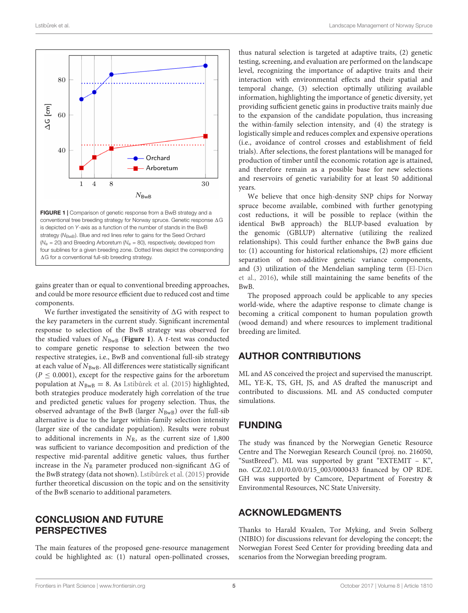

<span id="page-4-0"></span>strategy (N<sub>BwB</sub>). Blue and red lines refer to gains for the Seed Orchard ( $N_e$  = 20) and Breeding Arboretum ( $N_e$  = 80), respectively, developed from four sublines for a given breeding zone. Dotted lines depict the corresponding  $\Delta G$  for a conventional full-sib breeding strategy.

gains greater than or equal to conventional breeding approaches, and could be more resource efficient due to reduced cost and time components.

We further investigated the sensitivity of  $\Delta G$  with respect to the key parameters in the current study. Significant incremental response to selection of the BwB strategy was observed for the studied values of  $N_{\text{BwB}}$  (**[Figure 1](#page-4-0)**). A *t*-test was conducted to compare genetic response to selection between the two respective strategies, i.e., BwB and conventional full-sib strategy at each value of  $N_{\text{BwB}}$ . All differences were statistically significant  $(P \le 0.0001)$ , except for the respective gains for the arboretum population at  $N_{\text{BwB}} = 8$ . As [Lstiburek et al.](#page-5-28) [\(2015\)](#page-5-28) highlighted, both strategies produce moderately high correlation of the true and predicted genetic values for progeny selection. Thus, the observed advantage of the BwB (larger  $N_{\text{BwB}}$ ) over the full-sib alternative is due to the larger within-family selection intensity (larger size of the candidate population). Results were robust to additional increments in  $N_R$ , as the current size of 1,800 was sufficient to variance decomposition and prediction of the respective mid-parental additive genetic values, thus further increase in the  $N_R$  parameter produced non-significant  $\Delta G$  of the BwB strategy (data not shown). Lstibůrek et al. [\(2015\)](#page-5-28) provide further theoretical discussion on the topic and on the sensitivity of the BwB scenario to additional parameters.

### CONCLUSION AND FUTURE PERSPECTIVES

The main features of the proposed gene-resource management could be highlighted as: (1) natural open-pollinated crosses,

thus natural selection is targeted at adaptive traits, (2) genetic testing, screening, and evaluation are performed on the landscape level, recognizing the importance of adaptive traits and their interaction with environmental effects and their spatial and temporal change, (3) selection optimally utilizing available information, highlighting the importance of genetic diversity, yet providing sufficient genetic gains in productive traits mainly due to the expansion of the candidate population, thus increasing the within-family selection intensity, and (4) the strategy is logistically simple and reduces complex and expensive operations (i.e., avoidance of control crosses and establishment of field trials). After selections, the forest plantations will be managed for production of timber until the economic rotation age is attained, and therefore remain as a possible base for new selections and reservoirs of genetic variability for at least 50 additional years.

We believe that once high-density SNP chips for Norway spruce become available, combined with further genotyping cost reductions, it will be possible to replace (within the identical BwB approach) the BLUP-based evaluation by the genomic (GBLUP) alternative (utilizing the realized relationships). This could further enhance the BwB gains due to: (1) accounting for historical relationships, (2) more efficient separation of non-additive genetic variance components, and (3) utilization of the Mendelian sampling term [\(El-Dien](#page-5-38) [et al.,](#page-5-38) [2016\)](#page-5-38), while still maintaining the same benefits of the BwB.

The proposed approach could be applicable to any species world-wide, where the adaptive response to climate change is becoming a critical component to human population growth (wood demand) and where resources to implement traditional breeding are limited.

#### AUTHOR CONTRIBUTIONS

ML and AS conceived the project and supervised the manuscript. ML, YE-K, TS, GH, JS, and AS drafted the manuscript and contributed to discussions. ML and AS conducted computer simulations.

#### FUNDING

The study was financed by the Norwegian Genetic Resource Centre and The Norwegian Research Council (proj. no. 216050, "SustBreed"). ML was supported by grant "EXTEMIT – K", no. CZ.02.1.01/0.0/0.0/15\_003/0000433 financed by OP RDE. GH was supported by Camcore, Department of Forestry & Environmental Resources, NC State University.

#### ACKNOWLEDGMENTS

Thanks to Harald Kvaalen, Tor Myking, and Svein Solberg (NIBIO) for discussions relevant for developing the concept; the Norwegian Forest Seed Center for providing breeding data and scenarios from the Norwegian breeding program.